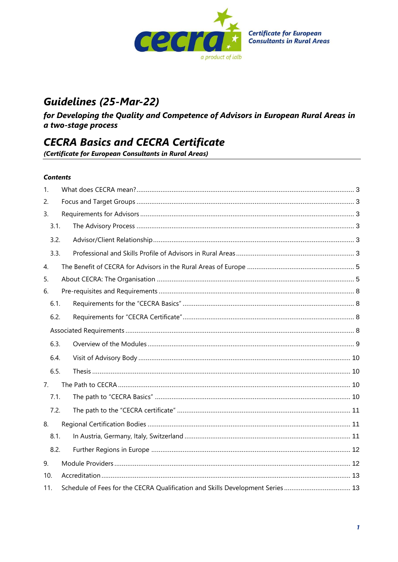

# **Guidelines (25-Mar-22)**

for Developing the Quality and Competence of Advisors in European Rural Areas in a two-stage process

# **CECRA Basics and CECRA Certificate**

(Certificate for European Consultants in Rural Areas)

#### **Contents**

| 1.             |                                                                               |  |  |
|----------------|-------------------------------------------------------------------------------|--|--|
| 2.             |                                                                               |  |  |
| 3.             |                                                                               |  |  |
| 3.1.           |                                                                               |  |  |
| 3.2.           |                                                                               |  |  |
| 3.3.           |                                                                               |  |  |
| 4.             |                                                                               |  |  |
| 5.             |                                                                               |  |  |
| 6.             |                                                                               |  |  |
| 6.1.           |                                                                               |  |  |
| 6.2.           |                                                                               |  |  |
|                |                                                                               |  |  |
| 6.3.           |                                                                               |  |  |
| 6.4.           |                                                                               |  |  |
| 6.5.           |                                                                               |  |  |
| 7 <sub>1</sub> |                                                                               |  |  |
| 7.1.           |                                                                               |  |  |
| 7.2.           |                                                                               |  |  |
| 8.             |                                                                               |  |  |
| 8.1.           |                                                                               |  |  |
| 8.2.           |                                                                               |  |  |
| 9.             |                                                                               |  |  |
| 10.            |                                                                               |  |  |
| 11.            | Schedule of Fees for the CECRA Qualification and Skills Development Series 13 |  |  |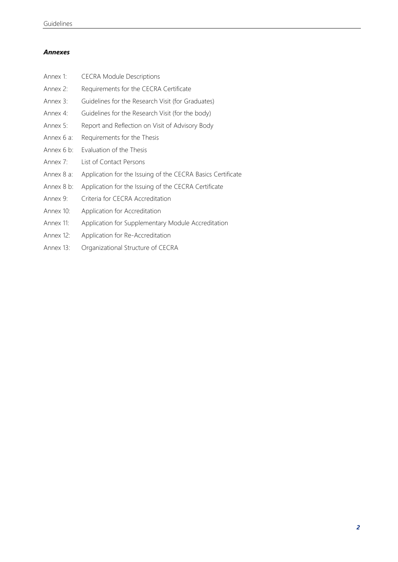#### *Annexes*

| Annex 1:   | <b>CECRA Module Descriptions</b>                            |
|------------|-------------------------------------------------------------|
| Annex 2:   | Requirements for the CECRA Certificate                      |
| Annex 3:   | Guidelines for the Research Visit (for Graduates)           |
| Annex 4:   | Guidelines for the Research Visit (for the body)            |
| Annex 5:   | Report and Reflection on Visit of Advisory Body             |
| Annex 6 a: | Requirements for the Thesis                                 |
| Annex 6 b: | Evaluation of the Thesis                                    |
| Annex 7:   | List of Contact Persons                                     |
| Annex 8 a: | Application for the Issuing of the CECRA Basics Certificate |
| Annex 8 b: | Application for the Issuing of the CECRA Certificate        |
| Annex 9:   | Criteria for CECRA Accreditation                            |
| Annex 10:  | Application for Accreditation                               |
| Annex 11:  | Application for Supplementary Module Accreditation          |
| Annex 12:  | Application for Re-Accreditation                            |
| Annex 13:  | Organizational Structure of CECRA                           |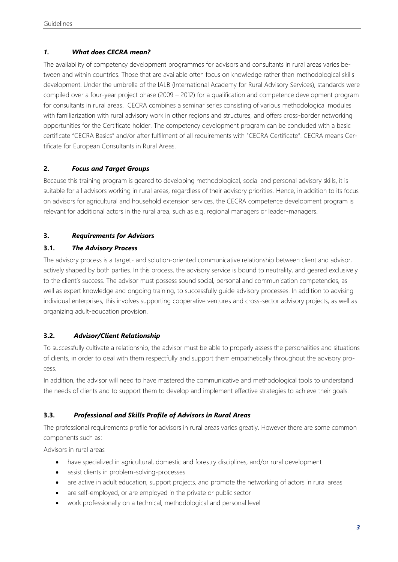# <span id="page-2-0"></span>*1. What does CECRA mean?*

The availability of competency development programmes for advisors and consultants in rural areas varies between and within countries. Those that are available often focus on knowledge rather than methodological skills development. Under the umbrella of the IALB (International Academy for Rural Advisory Services), standards were compiled over a four-year project phase (2009 – 2012) for a qualification and competence development program for consultants in rural areas. CECRA combines a seminar series consisting of various methodological modules with familiarization with rural advisory work in other regions and structures, and offers cross-border networking opportunities for the Certificate holder. The competency development program can be concluded with a basic certificate "CECRA Basics" and/or after fulfilment of all requirements with "CECRA Certificate". CECRA means Certificate for European Consultants in Rural Areas.

# <span id="page-2-1"></span>**2.** *Focus and Target Groups*

Because this training program is geared to developing methodological, social and personal advisory skills, it is suitable for all advisors working in rural areas, regardless of their advisory priorities. Hence, in addition to its focus on advisors for agricultural and household extension services, the CECRA competence development program is relevant for additional actors in the rural area, such as e.g. regional managers or leader-managers.

# <span id="page-2-2"></span>**3.** *Requirements for Advisors*

# <span id="page-2-3"></span>**3.1.** *The Advisory Process*

The advisory process is a target- and solution-oriented communicative relationship between client and advisor, actively shaped by both parties. In this process, the advisory service is bound to neutrality, and geared exclusively to the client's success. The advisor must possess sound social, personal and communication competencies, as well as expert knowledge and ongoing training, to successfully guide advisory processes. In addition to advising individual enterprises, this involves supporting cooperative ventures and cross-sector advisory projects, as well as organizing adult-education provision.

#### <span id="page-2-4"></span>**3.2.** *Advisor/Client Relationship*

To successfully cultivate a relationship, the advisor must be able to properly assess the personalities and situations of clients, in order to deal with them respectfully and support them empathetically throughout the advisory process.

In addition, the advisor will need to have mastered the communicative and methodological tools to understand the needs of clients and to support them to develop and implement effective strategies to achieve their goals.

# <span id="page-2-5"></span>**3.3.** *Professional and Skills Profile of Advisors in Rural Areas*

The professional requirements profile for advisors in rural areas varies greatly. However there are some common components such as:

Advisors in rural areas

- have specialized in agricultural, domestic and forestry disciplines, and/or rural development
- assist clients in problem-solving-processes
- are active in adult education, support projects, and promote the networking of actors in rural areas
- are self-employed, or are employed in the private or public sector
- work professionally on a technical, methodological and personal level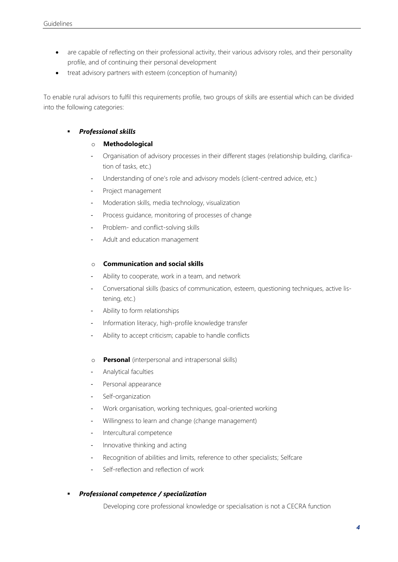- are capable of reflecting on their professional activity, their various advisory roles, and their personality profile, and of continuing their personal development
- treat advisory partners with esteem (conception of humanity)

To enable rural advisors to fulfil this requirements profile, two groups of skills are essential which can be divided into the following categories:

#### ▪ *Professional skills*

#### o **Methodological**

- Organisation of advisory processes in their different stages (relationship building, clarification of tasks, etc.)
- Understanding of one's role and advisory models (client-centred advice, etc.)
- Project management
- Moderation skills, media technology, visualization
- Process guidance, monitoring of processes of change
- Problem- and conflict-solving skills
- Adult and education management

#### o **Communication and social skills**

- Ability to cooperate, work in a team, and network
- Conversational skills (basics of communication, esteem, questioning techniques, active listening, etc.)
- Ability to form relationships
- Information literacy, high-profile knowledge transfer
- Ability to accept criticism; capable to handle conflicts
- o **Personal** (interpersonal and intrapersonal skills)
- Analytical faculties
- Personal appearance
- Self-organization
- Work organisation, working techniques, goal-oriented working
- Willingness to learn and change (change management)
- Intercultural competence
- Innovative thinking and acting
- Recognition of abilities and limits, reference to other specialists; Selfcare
- Self-reflection and reflection of work

#### ▪ *Professional competence / specialization*

Developing core professional knowledge or specialisation is not a CECRA function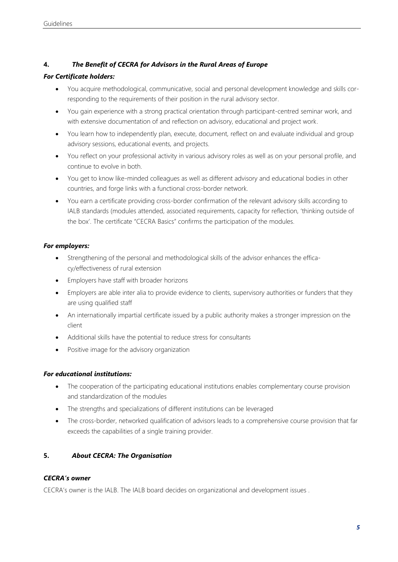#### <span id="page-4-0"></span>**4.** *The Benefit of CECRA for Advisors in the Rural Areas of Europe*

#### *For Certificate holders:*

- You acquire methodological, communicative, social and personal development knowledge and skills corresponding to the requirements of their position in the rural advisory sector.
- You gain experience with a strong practical orientation through participant-centred seminar work, and with extensive documentation of and reflection on advisory, educational and project work.
- You learn how to independently plan, execute, document, reflect on and evaluate individual and group advisory sessions, educational events, and projects.
- You reflect on your professional activity in various advisory roles as well as on your personal profile, and continue to evolve in both.
- You get to know like-minded colleagues as well as different advisory and educational bodies in other countries, and forge links with a functional cross-border network.
- You earn a certificate providing cross-border confirmation of the relevant advisory skills according to IALB standards (modules attended, associated requirements, capacity for reflection, 'thinking outside of the box'. The certificate "CECRA Basics" confirms the participation of the modules.

#### *For employers:*

- Strengthening of the personal and methodological skills of the advisor enhances the efficacy/effectiveness of rural extension
- Employers have staff with broader horizons
- Employers are able inter alia to provide evidence to clients, supervisory authorities or funders that they are using qualified staff
- An internationally impartial certificate issued by a public authority makes a stronger impression on the client
- Additional skills have the potential to reduce stress for consultants
- Positive image for the advisory organization

#### *For educational institutions:*

- The cooperation of the participating educational institutions enables complementary course provision and standardization of the modules
- The strengths and specializations of different institutions can be leveraged
- The cross-border, networked qualification of advisors leads to a comprehensive course provision that far exceeds the capabilities of a single training provider.

#### <span id="page-4-1"></span>**5.** *About CECRA: The Organisation*

#### *CECRA's owner*

CECRA's owner is the IALB. The IALB board decides on organizational and development issues .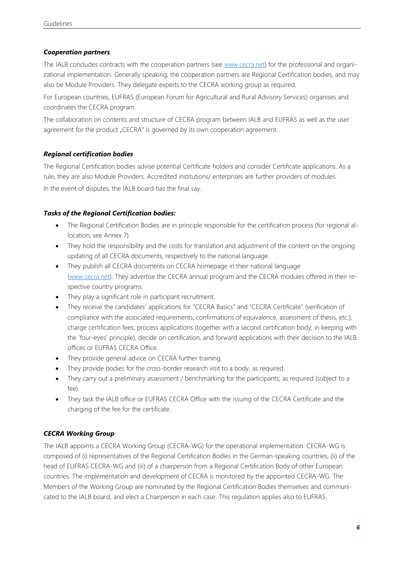#### *Cooperation partners*

The IALB concludes contracts with the cooperation partners (see [www.cecra.net\)](http://www.cecra.net/) for the professional and organizational implementation. Generally speaking, the cooperation partners are Regional Certification bodies, and may also be Module Providers. They delegate experts to the CECRA working group as required.

For European countries, EUFRAS (European Forum for Agricultural and Rural Advisory Services) organises and coordinates the CECRA program.

The collaboration on contents and structure of CECRA program between IALB and EUFRAS as well as the user agreement for the product "CECRA" is governed by its own cooperation agreement.

#### *Regional certification bodies*

The Regional Certification bodies advise potential Certificate holders and consider Certificate applications. As a rule, they are also Module Providers. Accredited institutions/ enterprises are further providers of modules. In the event of disputes, the IALB board has the final say.

#### *Tasks of the Regional Certification bodies:*

- The Regional Certification Bodies are in principle responsible for the certification process (for regional allocation, see Annex 7).
- They hold the responsibility and the costs for translation and adjustment of the content on the ongoing updating of all CECRA documents, respectively to the national language.
- They publish all CECRA documents on CECRA homepage in their national language [\(www.cecra.net\)](http://www.cecra.net/). They advertise the CECRA annual program and the CECRA modules offered in their respective country programs.
- They play a significant role in participant recruitment.
- They receive the candidates' applications for "CECRA Basics" and "CECRA Certificate" (verification of compliance with the associated requirements, confirmations of equivalence, assessment of thesis, etc.), charge certification fees, process applications (together with a second certification body, in keeping with the 'four-eyes' principle), decide on certification, and forward applications with their decision to the IALB offices or EUFRAS CECRA Office.
- They provide general advice on CECRA further training.
- They provide bodies for the cross-border research visit to a body, as required.
- They carry out a preliminary assessment / benchmarking for the participants, as required (subject to a fee).
- They task the IALB office or EUFRAS CECRA Office with the issuing of the CECRA Certificate and the charging of the fee for the certificate.

#### *CECRA Working Group*

The IALB appoints a CECRA Working Group (CECRA-WG) for the operational implementation. CECRA-WG is composed of (i) representatives of the Regional Certification Bodies in the German-speaking countries, (ii) of the head of EUFRAS CECRA-WG and (iii) of a chairperson from a Regional Certification Body of other European countries. The implementation and development of CECRA is monitored by the appointed CECRA-WG. The Members of the Working Group are nominated by the Regional Certification Bodies themselves and communicated to the IALB board, and elect a Chairperson in each case. This regulation applies also to EUFRAS.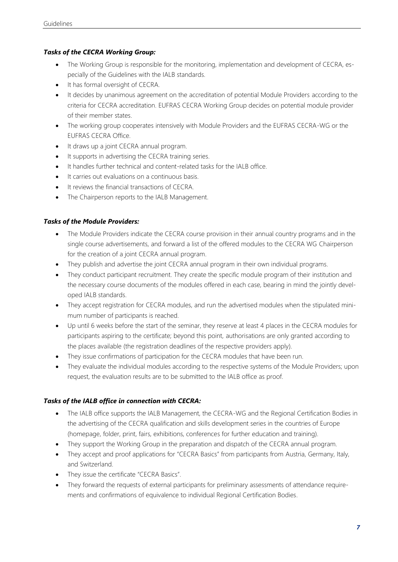#### *Tasks of the CECRA Working Group:*

- The Working Group is responsible for the monitoring, implementation and development of CECRA, especially of the Guidelines with the IALB standards.
- It has formal oversight of CECRA.
- It decides by unanimous agreement on the accreditation of potential Module Providers according to the criteria for CECRA accreditation. EUFRAS CECRA Working Group decides on potential module provider of their member states.
- The working group cooperates intensively with Module Providers and the EUFRAS CECRA-WG or the EUFRAS CECRA Office.
- It draws up a joint CECRA annual program.
- It supports in advertising the CECRA training series.
- It handles further technical and content-related tasks for the IALB office.
- It carries out evaluations on a continuous basis.
- It reviews the financial transactions of CECRA.
- The Chairperson reports to the IALB Management.

# *Tasks of the Module Providers:*

- The Module Providers indicate the CECRA course provision in their annual country programs and in the single course advertisements, and forward a list of the offered modules to the CECRA WG Chairperson for the creation of a joint CECRA annual program.
- They publish and advertise the joint CECRA annual program in their own individual programs.
- They conduct participant recruitment. They create the specific module program of their institution and the necessary course documents of the modules offered in each case, bearing in mind the jointly developed IALB standards.
- They accept registration for CECRA modules, and run the advertised modules when the stipulated minimum number of participants is reached.
- Up until 6 weeks before the start of the seminar, they reserve at least 4 places in the CECRA modules for participants aspiring to the certificate; beyond this point, authorisations are only granted according to the places available (the registration deadlines of the respective providers apply).
- They issue confirmations of participation for the CECRA modules that have been run.
- They evaluate the individual modules according to the respective systems of the Module Providers; upon request, the evaluation results are to be submitted to the IALB office as proof.

#### *Tasks of the IALB office in connection with CECRA:*

- The IALB office supports the IALB Management, the CECRA-WG and the Regional Certification Bodies in the advertising of the CECRA qualification and skills development series in the countries of Europe (homepage, folder, print, fairs, exhibitions, conferences for further education and training).
- They support the Working Group in the preparation and dispatch of the CECRA annual program.
- They accept and proof applications for "CECRA Basics" from participants from Austria, Germany, Italy, and Switzerland.
- They issue the certificate "CECRA Basics".
- They forward the requests of external participants for preliminary assessments of attendance requirements and confirmations of equivalence to individual Regional Certification Bodies.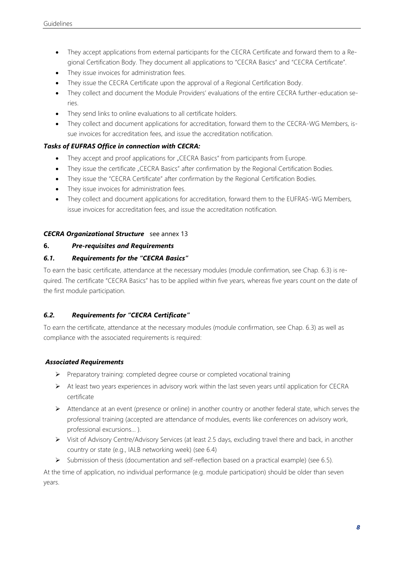- They accept applications from external participants for the CECRA Certificate and forward them to a Regional Certification Body. They document all applications to "CECRA Basics" and "CECRA Certificate".
- They issue invoices for administration fees.
- They issue the CECRA Certificate upon the approval of a Regional Certification Body.
- They collect and document the Module Providers' evaluations of the entire CECRA further-education series.
- They send links to online evaluations to all certificate holders.
- They collect and document applications for accreditation, forward them to the CECRA-WG Members, issue invoices for accreditation fees, and issue the accreditation notification.

#### *Tasks of EUFRAS Office in connection with CECRA:*

- They accept and proof applications for "CECRA Basics" from participants from Europe.
- They issue the certificate "CECRA Basics" after confirmation by the Regional Certification Bodies.
- They issue the "CECRA Certificate" after confirmation by the Regional Certification Bodies.
- They issue invoices for administration fees.
- They collect and document applications for accreditation, forward them to the EUFRAS-WG Members, issue invoices for accreditation fees, and issue the accreditation notification.

#### *CECRA Organizational Structure* see annex 13

#### <span id="page-7-0"></span>**6.** *Pre-requisites and Requirements*

#### <span id="page-7-1"></span>*6.1. Requirements for the "CECRA Basics"*

To earn the basic certificate, attendance at the necessary modules (module confirmation, see Chap. 6.3) is required. The certificate "CECRA Basics" has to be applied within five years, whereas five years count on the date of the first module participation.

#### <span id="page-7-2"></span>*6.2. Requirements for "CECRA Certificate"*

To earn the certificate, attendance at the necessary modules (module confirmation, see Chap. 6.3) as well as compliance with the associated requirements is required:

#### <span id="page-7-3"></span>*Associated Requirements*

- ➢ Preparatory training: completed degree course or completed vocational training
- ➢ At least two years experiences in advisory work within the last seven years until application for CECRA certificate
- ➢ Attendance at an event (presence or online) in another country or another federal state, which serves the professional training (accepted are attendance of modules, events like conferences on advisory work, professional excursions… ).
- ➢ Visit of Advisory Centre/Advisory Services (at least 2.5 days, excluding travel there and back, in another country or state (e.g., IALB networking week) (see 6.4)
- ➢ Submission of thesis (documentation and self-reflection based on a practical example) (see 6.5).

At the time of application, no individual performance (e.g. module participation) should be older than seven years.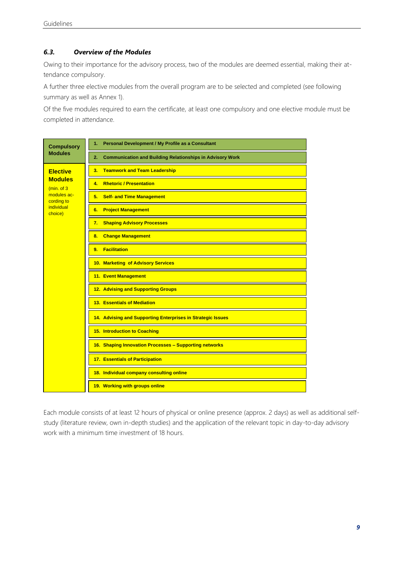#### <span id="page-8-0"></span>*6.3. Overview of the Modules*

Owing to their importance for the advisory process, two of the modules are deemed essential, making their attendance compulsory.

A further three elective modules from the overall program are to be selected and completed (see following summary as well as Annex 1).

Of the five modules required to earn the certificate, at least one compulsory and one elective module must be completed in attendance.



Each module consists of at least 12 hours of physical or online presence (approx. 2 days) as well as additional selfstudy (literature review, own in-depth studies) and the application of the relevant topic in day-to-day advisory work with a minimum time investment of 18 hours.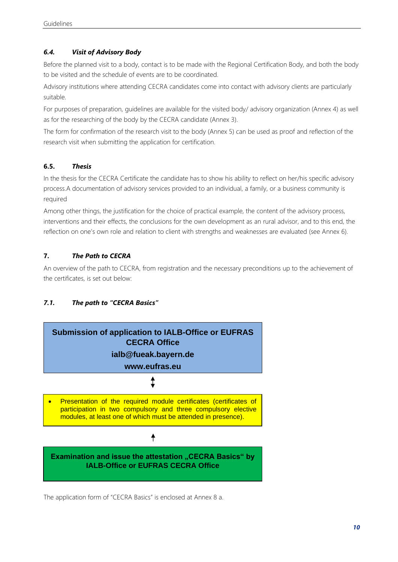# <span id="page-9-0"></span>*6.4. Visit of Advisory Body*

Before the planned visit to a body, contact is to be made with the Regional Certification Body, and both the body to be visited and the schedule of events are to be coordinated.

Advisory institutions where attending CECRA candidates come into contact with advisory clients are particularly suitable.

For purposes of preparation, guidelines are available for the visited body/ advisory organization (Annex 4) as well as for the researching of the body by the CECRA candidate (Annex 3).

The form for confirmation of the research visit to the body (Annex 5) can be used as proof and reflection of the research visit when submitting the application for certification.

#### <span id="page-9-1"></span>**6.5.** *Thesis*

In the thesis for the CECRA Certificate the candidate has to show his ability to reflect on her/his specific advisory process.A documentation of advisory services provided to an individual, a family, or a business community is required

Among other things, the justification for the choice of practical example, the content of the advisory process, interventions and their effects, the conclusions for the own development as an rural advisor, and to this end, the reflection on one's own role and relation to client with strengths and weaknesses are evaluated (see Annex 6).

# <span id="page-9-2"></span>**7.** *The Path to CECRA*

An overview of the path to CECRA, from registration and the necessary preconditions up to the achievement of the certificates, is set out below:

# <span id="page-9-3"></span>*7.1. The path to "CECRA Basics"*



The application form of "CECRA Basics" is enclosed at Annex 8 a.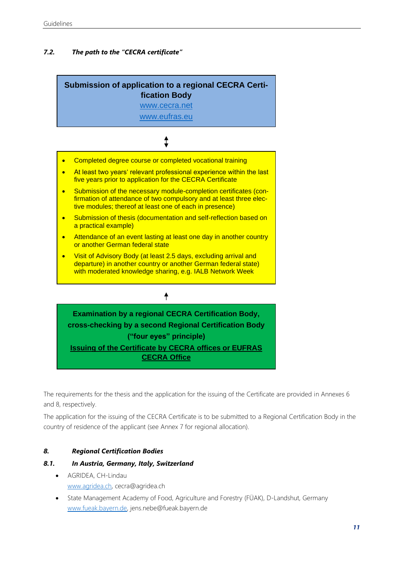# <span id="page-10-0"></span>*7.2. The path to the "CECRA certificate"*

# **Submission of application to a regional CECRA Certification Body**

[www.cecra.net](http://www.cecra.net/)

[www.eufras.eu](http://www.eufras.eu/)

# ↨

- Completed degree course or completed vocational training
- At least two years' relevant professional experience within the last five years prior to application for the CECRA Certificate
- Submission of the necessary module-completion certificates (confirmation of attendance of two compulsory and at least three elective modules; thereof at least one of each in presence)
- Submission of thesis (documentation and self-reflection based on a practical example)
- Attendance of an event lasting at least one day in another country or another German federal state
- Visit of Advisory Body (at least 2.5 days, excluding arrival and departure) in another country or another German federal state) with moderated knowledge sharing, e.g. IALB Network Week

# **Examination by a regional CECRA Certification Body, cross-checking by a second Regional Certification Body ("four eyes" principle) Issuing of the Certificate by CECRA offices or EUFRAS CECRA Office**

 $\ddagger$ 

The requirements for the thesis and the application for the issuing of the Certificate are provided in Annexes 6 and 8, respectively.

The application for the issuing of the CECRA Certificate is to be submitted to a Regional Certification Body in the country of residence of the applicant (see Annex 7 for regional allocation).

#### <span id="page-10-1"></span>*8. Regional Certification Bodies*

#### <span id="page-10-2"></span>*8.1. In Austria, Germany, Italy, Switzerland*

- AGRIDEA, CH-Lindau [www.agridea.ch,](http://www.agridea.ch/) cecra@agridea.ch
- State Management Academy of Food, Agriculture and Forestry (FÜAK), D-Landshut, Germany [www.fueak.bayern.de,](http://www.fueak.bayern.de/) jens.nebe@fueak.bayern.de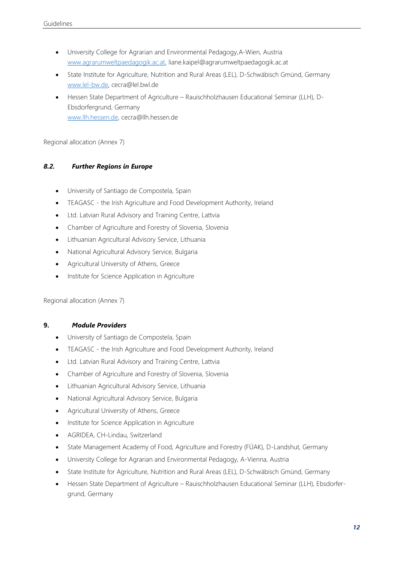- University College for Agrarian and Environmental Pedagogy,A-Wien, Austria [www.agrarumweltpaedagogik.ac.at,](http://www.agrarumweltpaedagogik.ac.at/) liane.kaipel@agrarumweltpaedagogik.ac.at
- State Institute for Agriculture, Nutrition and Rural Areas (LEL), D-Schwäbisch Gmünd, Germany [www.lel-bw.de,](http://www.lel-bw.de/) cecra@lel.bwl.de
- Hessen State Department of Agriculture Rauischholzhausen Educational Seminar (LLH), D-Ebsdorfergrund, Germany [www.llh.hessen.de,](http://www.llh.hessen.de/) cecra@llh.hessen.de

Regional allocation (Annex 7)

#### <span id="page-11-0"></span>*8.2. Further Regions in Europe*

- University of Santiago de Compostela, Spain
- TEAGASC the Irish Agriculture and Food Development Authority, Ireland
- Ltd. Latvian Rural Advisory and Training Centre, Lattvia
- Chamber of Agriculture and Forestry of Slovenia, Slovenia
- Lithuanian Agricultural Advisory Service, Lithuania
- National Agricultural Advisory Service, Bulgaria
- Agricultural University of Athens, Greece
- Institute for Science Application in Agriculture

Regional allocation (Annex 7)

#### <span id="page-11-1"></span>**9.** *Module Providers*

- University of Santiago de Compostela, Spain
- TEAGASC the Irish Agriculture and Food Development Authority, Ireland
- Ltd. Latvian Rural Advisory and Training Centre, Lattvia
- Chamber of Agriculture and Forestry of Slovenia, Slovenia
- Lithuanian Agricultural Advisory Service, Lithuania
- National Agricultural Advisory Service, Bulgaria
- Agricultural University of Athens, Greece
- Institute for Science Application in Agriculture
- AGRIDEA, CH-Lindau, Switzerland
- State Management Academy of Food, Agriculture and Forestry (FÜAK), D-Landshut, Germany
- University College for Agrarian and Environmental Pedagogy, A-Vienna, Austria
- State Institute for Agriculture, Nutrition and Rural Areas (LEL), D-Schwäbisch Gmünd, Germany
- Hessen State Department of Agriculture Rauischholzhausen Educational Seminar (LLH), Ebsdorfergrund, Germany